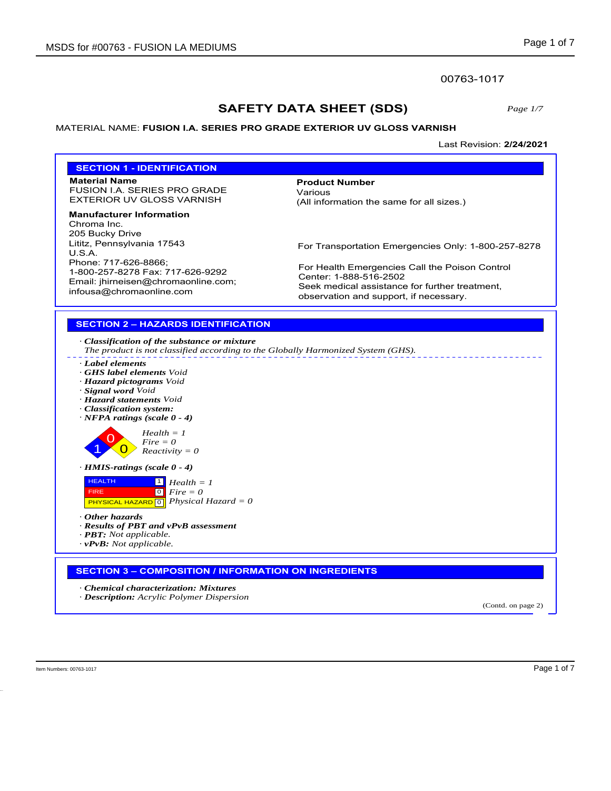### 00763-1017

# **SAFETY DATA SHEET (SDS)**

*Page 1/7*

### MATERIAL NAME: **FUSION I.A. SERIES PRO GRADE EXTERIOR UV GLOSS VARNISH**

Last Revision: **2/24/2021**

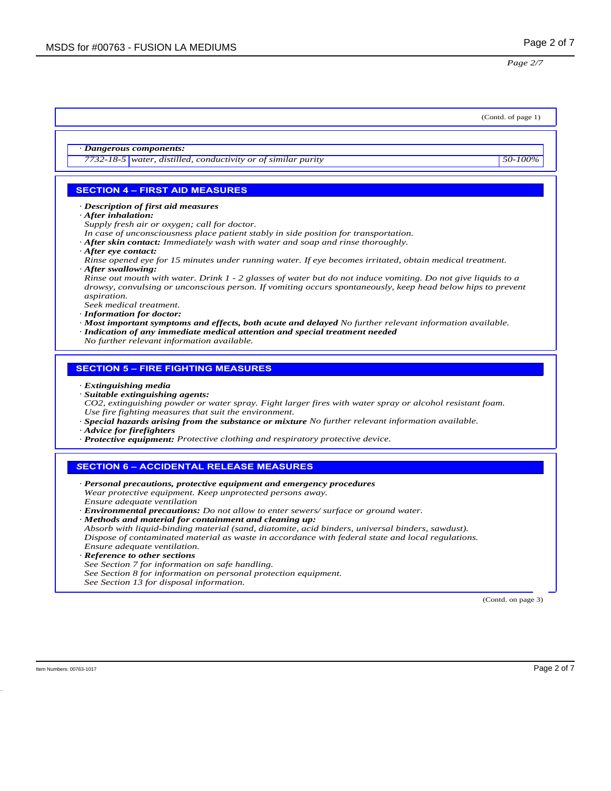## (Contd. of page 1) *· Dangerous components: 7732-18-5 water, distilled, conductivity or of similar purity 50-100%* **SECTION 4 – FIRST AID MEASURES** *· Description of first aid measures · After inhalation: Supply fresh air or oxygen; call for doctor. In case of unconsciousness place patient stably in side position for transportation. · After skin contact: Immediately wash with water and soap and rinse thoroughly. · After eye contact: Rinse opened eye for 15 minutes under running water. If eye becomes irritated, obtain medical treatment. · After swallowing: Rinse out mouth with water. Drink 1 - 2 glasses of water but do not induce vomiting. Do not give liquids to a drowsy, convulsing or unconscious person. If vomiting occurs spontaneously, keep head below hips to prevent aspiration. Seek medical treatment. · Information for doctor: · Most important symptoms and effects, both acute and delayed No further relevant information available. · Indication of any immediate medical attention and special treatment needed No further relevant information available.* **SECTION 5 – FIRE FIGHTING MEASURES** *· Extinguishing media · Suitable extinguishing agents: CO2, extinguishing powder or water spray. Fight larger fires with water spray or alcohol resistant foam. Use fire fighting measures that suit the environment. · Special hazards arising from the substance or mixture No further relevant information available. · Advice for firefighters · Protective equipment: Protective clothing and respiratory protective device. S***ECTION 6 – ACCIDENTAL RELEASE MEASURES** *· Personal precautions, protective equipment and emergency procedures Wear protective equipment. Keep unprotected persons away. Ensure adequate ventilation · Environmental precautions: Do not allow to enter sewers/ surface or ground water. · Methods and material for containment and cleaning up: Absorb with liquid-binding material (sand, diatomite, acid binders, universal binders, sawdust). Dispose of contaminated material as waste in accordance with federal state and local regulations. Ensure adequate ventilation. · Reference to other sections See Section 7 for information on safe handling. See Section 8 for information on personal protection equipment. See Section 13 for disposal information.* (Contd. on page 3)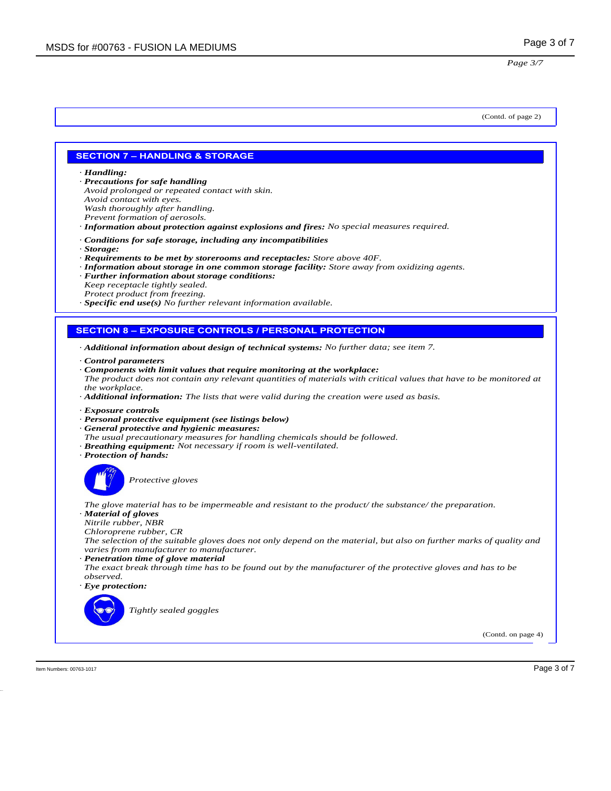(Contd. of page 2)

#### **SECTION 7 – HANDLING & STORAGE**

*· Handling:*

- *· Precautions for safe handling Avoid prolonged or repeated contact with skin.*
- *Avoid contact with eyes.*
- *Wash thoroughly after handling.*
- *Prevent formation of aerosols.*
- *· Information about protection against explosions and fires: No special measures required.*
- *· Conditions for safe storage, including any incompatibilities*
- *· Storage:*
- *· Requirements to be met by storerooms and receptacles: Store above 40F.*
- *· Information about storage in one common storage facility: Store away from oxidizing agents.*
- *· Further information about storage conditions: Keep receptacle tightly sealed.*
- *Protect product from freezing.*
- *· Specific end use(s) No further relevant information available.*

### **SECTION 8 – EXPOSURE CONTROLS / PERSONAL PROTECTION**

- *· Additional information about design of technical systems: No further data; see item 7.*
- *· Control parameters*
- *· Components with limit values that require monitoring at the workplace: The product does not contain any relevant quantities of materials with critical values that have to be monitored at the workplace.*
- *· Additional information: The lists that were valid during the creation were used as basis.*
- *· Exposure controls*
- *· Personal protective equipment (see listings below)*
- *· General protective and hygienic measures:*
- *The usual precautionary measures for handling chemicals should be followed.*
- *· Breathing equipment: Not necessary if room is well-ventilated.*
- *· Protection of hands:*



*Protective gloves*

*The glove material has to be impermeable and resistant to the product/ the substance/ the preparation. · Material of gloves*

- *Nitrile rubber, NBR*
- *Chloroprene rubber, CR*
- *The selection of the suitable gloves does not only depend on the material, but also on further marks of quality and varies from manufacturer to manufacturer.*
- *· Penetration time of glove material*
- *The exact break through time has to be found out by the manufacturer of the protective gloves and has to be observed.*
- *· Eye protection:*



*Tightly sealed goggles*

(Contd. on page 4)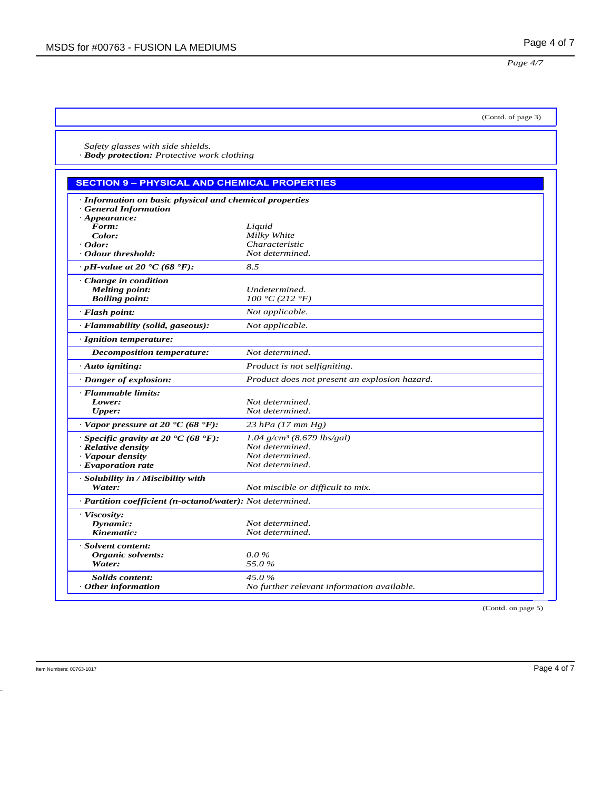*Page 4/7*

(Contd. of page 3)

*Safety glasses with side shields. · Body protection: Protective work clothing*

## **SECTION 9 – PHYSICAL AND CHEMICAL PROPERTIES**

| · Information on basic physical and chemical properties      |                                               |
|--------------------------------------------------------------|-----------------------------------------------|
| <b>General Information</b>                                   |                                               |
| $\cdot$ Appearance:<br>Form:                                 | Liquid                                        |
| Color:                                                       | Milky White                                   |
| $\cdot$ Odor:                                                | Characteristic                                |
| • Odour threshold:                                           | Not determined.                               |
| $\cdot$ pH-value at 20 $\textdegree$ C (68 $\textdegree$ F): | 8.5                                           |
| $\cdot$ Change in condition                                  |                                               |
| <b>Melting point:</b>                                        | Undetermined.                                 |
| <b>Boiling point:</b>                                        | 100 °C (212 °F)                               |
| $\cdot$ Flash point:                                         | Not applicable.                               |
| · Flammability (solid, gaseous):                             | Not applicable.                               |
| · Ignition temperature:                                      |                                               |
| <b>Decomposition temperature:</b>                            | Not determined.                               |
| $\cdot$ Auto igniting:                                       | Product is not selfigniting.                  |
| · Danger of explosion:                                       | Product does not present an explosion hazard. |
| · Flammable limits:                                          |                                               |
| Lower:                                                       | Not determined.                               |
| Upper:                                                       | Not determined.                               |
| $\cdot$ Vapor pressure at 20 °C (68 °F):                     | $23$ hPa (17 mm Hg)                           |
| $\cdot$ Specific gravity at 20 $\cdot$ C (68 $\cdot$ F):     | $1.04$ g/cm <sup>3</sup> (8.679 lbs/gal)      |
| · Relative density                                           | Not determined.                               |
| · Vapour density                                             | Not determined.                               |
| · Evaporation rate                                           | Not determined.                               |
| · Solubility in / Miscibility with                           |                                               |
| Water:                                                       | Not miscible or difficult to mix.             |
| · Partition coefficient (n-octanol/water): Not determined.   |                                               |
| · Viscosity:                                                 |                                               |
| Dynamic:                                                     | Not determined.                               |
| Kinematic:                                                   | Not determined.                               |
| · Solvent content:                                           |                                               |
| Organic solvents:                                            | $0.0\%$                                       |
| Water:                                                       | 55.0%                                         |
| Solids content:                                              | 45.0%                                         |
| Other information                                            | No further relevant information available.    |

(Contd. on page 5)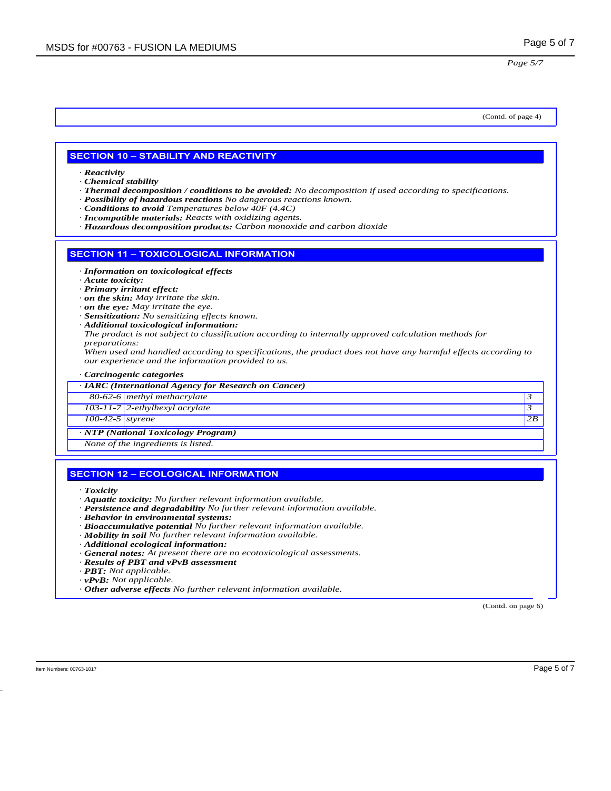#### (Contd. of page 4)

#### **SECTION 10 – STABILITY AND REACTIVITY**

*· Reactivity*

- *· Chemical stability*
- *· Thermal decomposition / conditions to be avoided: No decomposition if used according to specifications.*
- *· Possibility of hazardous reactions No dangerous reactions known.*
- *· Conditions to avoid Temperatures below 40F (4.4C)*
- *· Incompatible materials: Reacts with oxidizing agents.*
- *· Hazardous decomposition products: Carbon monoxide and carbon dioxide*

#### **SECTION 11 – TOXICOLOGICAL INFORMATION**

- *· Information on toxicological effects*
- *· Acute toxicity:*
- *· Primary irritant effect:*
- *· on the skin: May irritate the skin.*
- *· on the eye: May irritate the eye.*
- *· Sensitization: No sensitizing effects known.*
- *· Additional toxicological information: The product is not subject to classification according to internally approved calculation methods for preparations:*
- *When used and handled according to specifications, the product does not have any harmful effects according to our experience and the information provided to us.*
- *· Carcinogenic categories*

|                    | · IARC (International Agency for Research on Cancer) |    |
|--------------------|------------------------------------------------------|----|
|                    | 80-62-6 methyl methacrylate                          |    |
|                    | 103-11-7 2-ethylhexyl acrylate                       |    |
| $100-42-5$ styrene |                                                      | 2B |
|                    | · NTP (National Toxicology Program)                  |    |
|                    | None of the ingredients is listed.                   |    |
|                    | <b>SECTION 12 - ECOLOGICAL INFORMATION</b>           |    |
| $T = 1.21$         |                                                      |    |

- *· Toxicity*
- *· Aquatic toxicity: No further relevant information available.*
- *· Persistence and degradability No further relevant information available.*
- *· Behavior in environmental systems:*
- *· Bioaccumulative potential No further relevant information available.*
- *· Mobility in soil No further relevant information available.*
- *· Additional ecological information:*
- *· General notes: At present there are no ecotoxicological assessments.*
- *· Results of PBT and vPvB assessment*
- *· PBT: Not applicable.*
- *· vPvB: Not applicable.*
- *· Other adverse effects No further relevant information available.*

(Contd. on page 6)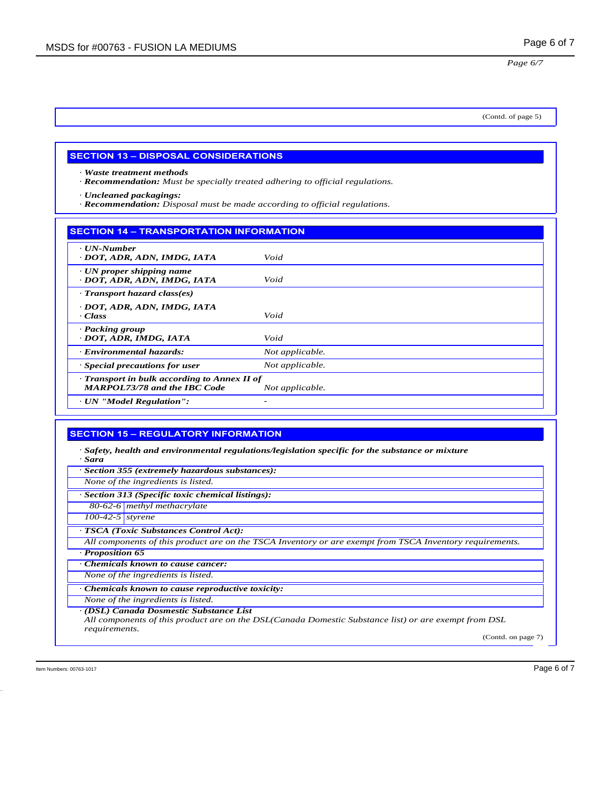(Contd. of page 5)

## **SECTION 13 – DISPOSAL CONSIDERATIONS**

*· Waste treatment methods*

*· Recommendation: Must be specially treated adhering to official regulations.*

*· Uncleaned packagings:*

*· Recommendation: Disposal must be made according to official regulations.*

#### **SECTION 14 – TRANSPORTATION INFORMATION**

| $\cdot$ UN-Number<br>· DOT, ADR, ADN, IMDG, IATA                                  | Void            |
|-----------------------------------------------------------------------------------|-----------------|
| $\cdot$ UN proper shipping name<br>· DOT, ADR, ADN, IMDG, IATA                    | Void            |
| · Transport hazard class(es)                                                      |                 |
| · DOT, ADR, ADN, IMDG, IATA<br>· Class                                            | Void            |
| · Packing group<br>· DOT, ADR, IMDG, IATA                                         | Void            |
| · Environmental hazards:                                                          | Not applicable. |
| $\cdot$ Special precautions for user                                              | Not applicable. |
| Transport in bulk according to Annex II of<br><b>MARPOL73/78 and the IBC Code</b> | Not applicable. |
| · UN "Model Regulation":                                                          |                 |

### **SECTION 15 – REGULATORY INFORMATION**

*· Safety, health and environmental regulations/legislation specific for the substance or mixture · Sara*

*· Section 355 (extremely hazardous substances):*

*None of the ingredients is listed.*

*· Section 313 (Specific toxic chemical listings):*

*80-62-6 methyl methacrylate*

*100-42-5 styrene*

*· TSCA (Toxic Substances Control Act):*

*All components of this product are on the TSCA Inventory or are exempt from TSCA Inventory requirements. · Proposition 65*

*· Chemicals known to cause cancer:*

*None of the ingredients is listed.*

*· Chemicals known to cause reproductive toxicity:*

*None of the ingredients is listed.*

*· (DSL) Canada Dosmestic Substance List*

*All components of this product are on the DSL(Canada Domestic Substance list) or are exempt from DSL requirements.*

(Contd. on page 7)

Item Numbers: 00763-1017 **Page 6 of 7 Page 6 of 7**